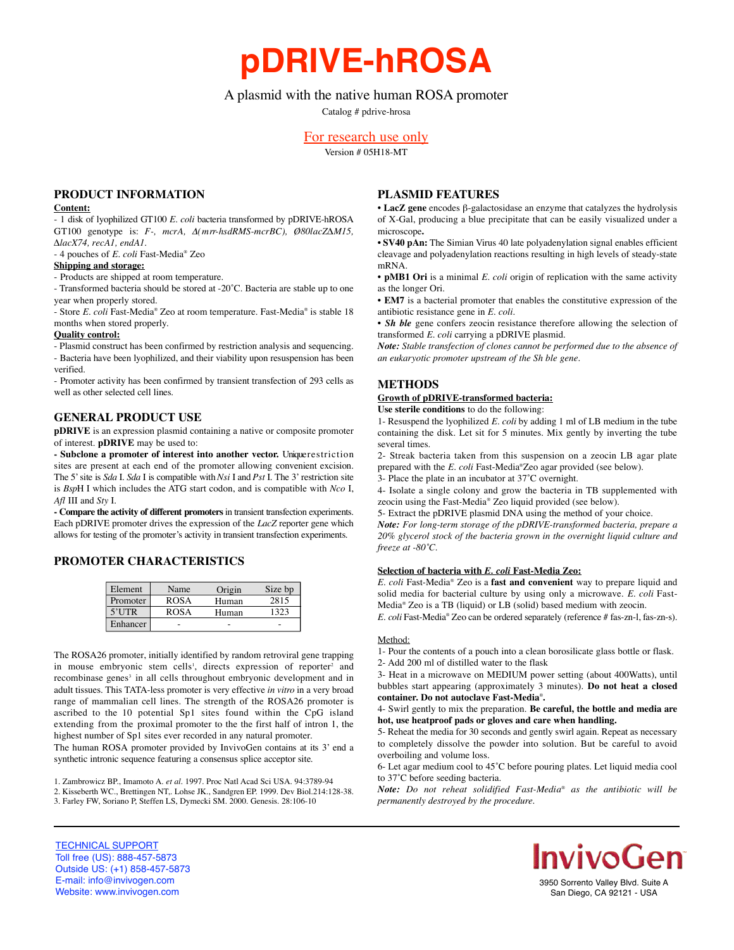**pDRIVE-hROSA**

# A plasmid with the native human ROSA promoter

Catalog # pdrive-hrosa

# For research use only

Version # 05H18-MT

## **PRODUCT INFORMATION**

#### **Content:**

- 1 disk of lyophilized GT100 *E. coli* bacteria transformed by pDRIVE-hROSA GT100 genotype is: *F-, mcrA,* Δ*( m rr-hsdRMS-mcrBC), Ø80lacZ∆M15, ∆lacX74, recA1, endA1.*

- 4 pouches of *E. coli* Fast-Media® Zeo

### **Shipping and storage:**

- Products are shipped at room temperature.

- Transformed bacteria should be stored at -20˚C. Bacteria are stable up to one year when properly stored.

- Store *E. coli* Fast-Media® Zeo at room temperature. Fast-Media® is stable 18 months when stored properly.

#### **Quality control:**

- Plasmid construct has been confirmed by restriction analysis and sequencing. - Bacteria have been lyophilized, and their viability upon resuspension has been verified.

- Promoter activity has been confirmed by transient transfection of 293 cells as well as other selected cell lines.

### **GENERAL PRODUCT USE**

**pDRIVE** is an expression plasmid containing a native or composite promoter of interest. **pDRIVE** may be used to:

- Subclone a promoter of interest into another vector. Unique restriction sites are present at each end of the promoter allowing convenient excision. The 5' site is *Sda* I. *Sda* I is compatible with *Nsi* I and *Pst* I. The 3' restriction site is *BspH* I which includes the ATG start codon, and is compatible with *Nco* I, *Afl* III and *Sty* I.

- Compare the activity of different promoters in transient transfection experiments. Each pDRIVE promoter drives the expression of the *LacZ* reporter gene which allows for testing of the promoter's activity in transient transfection experiments.

## **PROMOTER CHARACTERISTICS**

| Element  | Name        | Origin | Size bp |
|----------|-------------|--------|---------|
| Promoter | <b>ROSA</b> | Human  | 2815    |
| $5'$ UTR | <b>ROSA</b> | Human  | 1323    |
| Enhancer |             |        |         |

The ROSA26 promoter, initially identified by random retroviral gene trapping in mouse embryonic stem cells<sup>1</sup>, directs expression of reporter<sup>2</sup> and recombinase genes<sup>3</sup> in all cells throughout embryonic development and in adult tissues. This TATA-less promoter is very effective *in vitro* in a very broad range of mammalian cell lines. The strength of the ROSA26 promoter is ascribed to the 10 potential Sp1 sites found within the CpG island extending from the proximal promoter to the the first half of intron 1, the highest number of Sp1 sites ever recorded in any natural promoter.

The human ROSA promoter provided by InvivoGen contains at its 3' end a synthetic intronic sequence featuring a consensus splice acceptor site.

1. Zambrowicz BP., Imamoto A. *et al.* 1997. Proc Natl Acad Sci USA. 94:3789-94 2. Kisseberth WC., Brettingen NT,. Lohse JK., Sandgren EP. 1999. Dev Biol.214:128-38. 3. Farley FW, Soriano P, Steffen LS, Dymecki SM. 2000. Genesis. 28:106-10

### **PLASMID FEATURES**

• **LacZ gene** encodes β-galactosidase an enzyme that catalyzes the hydrolysis of X-Gal, producing a blue precipitate that can be easily visualized under a microscope**.**

• **SV40 pAn:** The Simian Virus 40 late polyadenylation signal enables efficient cleavage and polyadenylation reactions resulting in high levels of steady-state mRNA.

• **pMB1 Ori** is a minimal *E. coli* origin of replication with the same activity as the longer Ori.

• **EM7** is a bacterial promoter that enables the constitutive expression of the antibiotic resistance gene in *E. coli.*

• *Sh ble* gene confers zeocin resistance therefore allowing the selection of transformed *E. coli* carrying a pDRIVE plasmid.

*Note: Stable transfection of clones cannot be performed due to the absence of an eukaryotic promoter upstream of the Sh ble gene.*

### **METHODS**

## **Growth of pDRIVE-transformed bacteria:**

**Use sterile conditions** to do the following:

1- Resuspend the lyophilized *E. coli* by adding 1 ml of LB medium in the tube containing the disk. Let sit for 5 minutes. Mix gently by inverting the tube several times.

2- Streak bacteria taken from this suspension on a zeocin LB agar plate prepared with the *E. coli* Fast-Media®Zeo agar provided (see below).

3- Place the plate in an incubator at 37˚C overnight.

4- Isolate a single colony and grow the bacteria in TB supplemented with zeocin using the Fast-Media® Zeo liquid provided (see below).

5- Extract the pDRIVE plasmid DNA using the method of your choice.

*Note: For long-term storage of the pDRIVE-transformed bacteria, prepare a 20% glycerol stock of the bacteria grown in the overnight liquid culture and freeze at -80˚C.*

#### **Selection of bacteria with** *E. coli* **Fast-Media Zeo:**

*E. coli* Fast-Media® Zeo is a **fast and convenient** way to prepare liquid and solid media for bacterial culture by using only a microwave. *E. coli* Fast-Media® Zeo is a TB (liquid) or LB (solid) based medium with zeocin.

*E. coli* Fast-Media<sup>®</sup> Zeo can be ordered separately (reference # fas-zn-1, fas-zn-s).

### Method:

1- Pour the contents of a pouch into a clean borosilicate glass bottle or flask. 2- Add 200 ml of distilled water to the flask

3- Heat in a microwave on MEDIUM power setting (about 400Watts), until bubbles start appearing (approximately 3 minutes). **Do not heat a closed container. Do not autoclave Fast-Media**® **.**

### 4- Swirl gently to mix the preparation. **Be careful, the bottle and media are hot, use heatproof pads or gloves and care when handling.**

5- Reheat the media for 30 seconds and gently swirl again. Repeat as necessary to completely dissolve the powder into solution. But be careful to avoid overboiling and volume loss.

6- Let agar medium cool to 45˚C before pouring plates. Let liquid media cool to 37˚C before seeding bacteria.

*Note:* Do not reheat solidified Fast-Media® as the antibiotic will be *permanently destroyed by the procedure.*

TECHNICAL SUPPORT Toll free (US): 888-457-5873 Outside US: (+1) 858-457-5873 E-mail: info@invivogen.com Website: www.invivogen.com



3950 Sorrento Valley Blvd. Suite A San Diego, CA 92121 - USA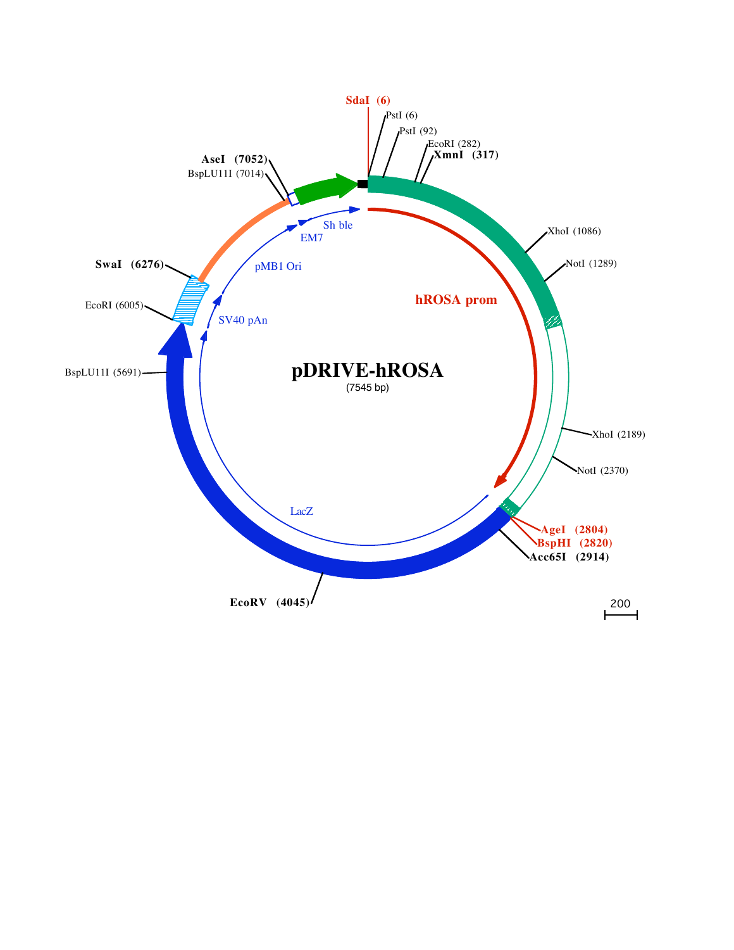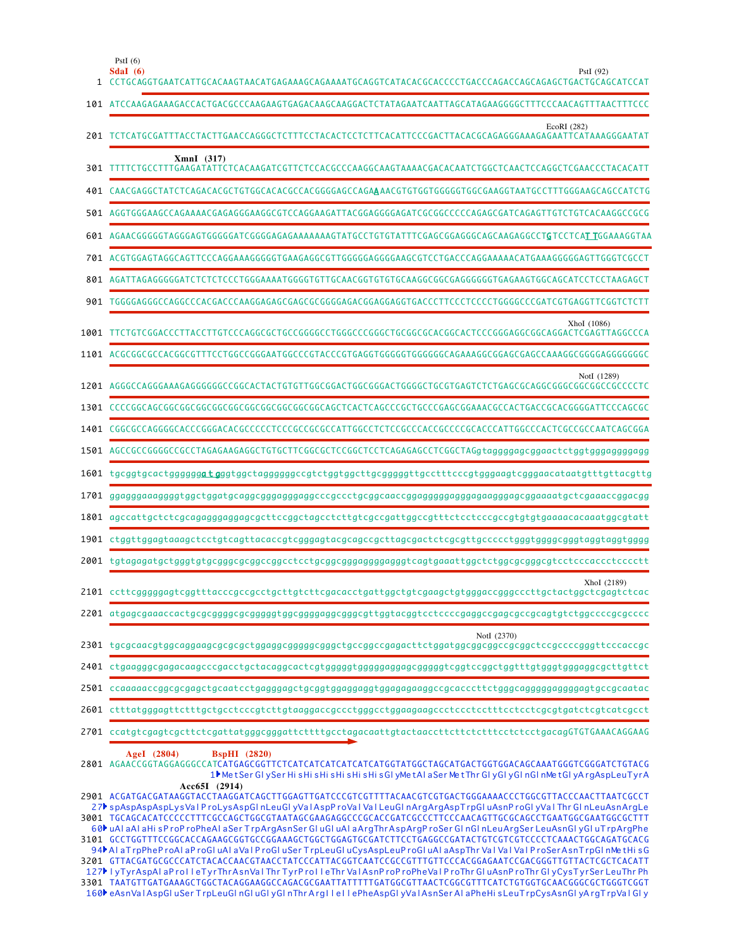| 1    | PstI $(6)$<br>SdaI (6)<br>PstI (92)<br>CCTGCAGGTGAATCATTGCACAAGTAACATGAGAAAGCAGAAAATGCAGGTCATACACGCACCCCTGACCCAGACCAGAGCTGACTGCAGCATCCAT                                                                                                                                                                                                                                                                                                                                                                                                                                                                                                                                                                                                                                                                     |
|------|--------------------------------------------------------------------------------------------------------------------------------------------------------------------------------------------------------------------------------------------------------------------------------------------------------------------------------------------------------------------------------------------------------------------------------------------------------------------------------------------------------------------------------------------------------------------------------------------------------------------------------------------------------------------------------------------------------------------------------------------------------------------------------------------------------------|
|      |                                                                                                                                                                                                                                                                                                                                                                                                                                                                                                                                                                                                                                                                                                                                                                                                              |
|      | EcoRI (282)<br>201 TCTCATGCGATTTACCTACTTGAACCAGGGCTCTTTCCTACACTCCTCTTCACATTCCCGACTTACACGCAGAGGGAAAGAGAATTCATAAAGGGAATAT                                                                                                                                                                                                                                                                                                                                                                                                                                                                                                                                                                                                                                                                                      |
| 301  | $XmnI$ (317)<br>TTTTCTGCCTTTGAAGATATTCTCACAAGATCGTTCTCCACGCCCAAGGCAAGTAAAACGACACAATCTGGCTCAACTCCAGGCTCGAACCCTACACATT                                                                                                                                                                                                                                                                                                                                                                                                                                                                                                                                                                                                                                                                                         |
|      | 401 CAACGAGGCTATCTCAGACACGCTGTGGCACACGCCACGGGGAGCCAGAAAACGTGTGGTGGGGGTGGCGAAGGTAATGCCTTTGGGAAGCAGCCATCTG                                                                                                                                                                                                                                                                                                                                                                                                                                                                                                                                                                                                                                                                                                     |
|      |                                                                                                                                                                                                                                                                                                                                                                                                                                                                                                                                                                                                                                                                                                                                                                                                              |
|      | 601 AGAACGGGGGTAGGGAGTGGGGGATCGGGGAGAGAAAAAAAGTATGCCTGTGTATTTCGAGCGGAGGGCAGCAAGAGGCCTGTCCTCATTGGAAAGGTAA                                                                                                                                                                                                                                                                                                                                                                                                                                                                                                                                                                                                                                                                                                     |
|      | 701 ACGTGGAGTAGGCAGTTCCCAGGAAAGGGGGTGAAGAGGCGTTGGGGGAGGGGAAGCGTCCTGACCCAGGAAAAACATGAAAGGGGGAGTTGGGTCGCCT                                                                                                                                                                                                                                                                                                                                                                                                                                                                                                                                                                                                                                                                                                     |
|      | 801 AGATTAGAGGGGGATCTCTCCCCTGGGAAAATGGGGTGTTGCAACGGTGTGTGCAAGGCGGCGAGGGGGGTGAGAAGTGGCAGCATCCTCCTAAGAGCT                                                                                                                                                                                                                                                                                                                                                                                                                                                                                                                                                                                                                                                                                                      |
|      |                                                                                                                                                                                                                                                                                                                                                                                                                                                                                                                                                                                                                                                                                                                                                                                                              |
| 1001 | XhoI (1086)<br>TTCTGTCGGACCCTTACCTTGTCCCAGGCGCTGCCGGGGCCTGGGCCCGGGCTGCGGCGCACGGCACTCCCGGGAGGCGGAGGCCGAGTTAGGCCCA                                                                                                                                                                                                                                                                                                                                                                                                                                                                                                                                                                                                                                                                                             |
| 1101 |                                                                                                                                                                                                                                                                                                                                                                                                                                                                                                                                                                                                                                                                                                                                                                                                              |
| 1201 | NotI (1289)                                                                                                                                                                                                                                                                                                                                                                                                                                                                                                                                                                                                                                                                                                                                                                                                  |
|      |                                                                                                                                                                                                                                                                                                                                                                                                                                                                                                                                                                                                                                                                                                                                                                                                              |
| 1401 | CGGCGCCAGGGGCACCCGGGACACGCCCCCTCCCGCCGCCGCCATTGGCCTCTCCGCCCACCGCCCCGCACCCCATTGGCCCACTCGCCGCCAATCAGCGGA                                                                                                                                                                                                                                                                                                                                                                                                                                                                                                                                                                                                                                                                                                       |
|      | 1501 AGCCGCCGGGGCCGCCTAGAGAAGAGGCTGTGCTTCGGCGCTCCGGCTCCTCAGAGAGCCTCGGCTAGgtaggggagcggaactctggtgggaggggagg                                                                                                                                                                                                                                                                                                                                                                                                                                                                                                                                                                                                                                                                                                    |
| 1601 |                                                                                                                                                                                                                                                                                                                                                                                                                                                                                                                                                                                                                                                                                                                                                                                                              |
| 1701 |                                                                                                                                                                                                                                                                                                                                                                                                                                                                                                                                                                                                                                                                                                                                                                                                              |
|      | $1801$ agccattgctctcgcagagggaggagcgcttccggctagcctcttgtcgccgattggccgtttctcctcccgccgtgtgtgaaaacacaaatggcgtatt                                                                                                                                                                                                                                                                                                                                                                                                                                                                                                                                                                                                                                                                                                  |
|      |                                                                                                                                                                                                                                                                                                                                                                                                                                                                                                                                                                                                                                                                                                                                                                                                              |
|      | $2001$ tgtagagatg $\texttt{ctggggtgtgcggcggcccgccctcctgcggggggggggggggtcagtgggactctdggcgggggctcctcccacctcccctt$                                                                                                                                                                                                                                                                                                                                                                                                                                                                                                                                                                                                                                                                                              |
|      | XhoI (2189)<br>2101 ccttcgggggagtcggtttacccgccgcctgcttgtcttcgacacctgattggctgtcgaagctgtgggaccgggcccttgctactggctcgagtctcac                                                                                                                                                                                                                                                                                                                                                                                                                                                                                                                                                                                                                                                                                     |
|      |                                                                                                                                                                                                                                                                                                                                                                                                                                                                                                                                                                                                                                                                                                                                                                                                              |
|      | NotI (2370)                                                                                                                                                                                                                                                                                                                                                                                                                                                                                                                                                                                                                                                                                                                                                                                                  |
|      |                                                                                                                                                                                                                                                                                                                                                                                                                                                                                                                                                                                                                                                                                                                                                                                                              |
|      |                                                                                                                                                                                                                                                                                                                                                                                                                                                                                                                                                                                                                                                                                                                                                                                                              |
|      |                                                                                                                                                                                                                                                                                                                                                                                                                                                                                                                                                                                                                                                                                                                                                                                                              |
|      |                                                                                                                                                                                                                                                                                                                                                                                                                                                                                                                                                                                                                                                                                                                                                                                                              |
|      | AgeI $(2804)$<br><b>BspHI</b> (2820)<br>2801 AGAACCGGTAGGAGGGCCATCATGAGCGGTTCTCATCATCATCATCATCATGGTATGGCTAGCATGACTGGTGGACAGCAAATGGGTCGGGATCTGTACG<br>1 Met Ser GI y Ser His His His His His His His GI y Met AI a Ser Met Thr GI y GI y GI n GI n Met GI y Arg Asp Leu Tyr A                                                                                                                                                                                                                                                                                                                                                                                                                                                                                                                                 |
|      | $Acc65I$ (2914)<br>2901 ACGATGACGATAAGGTACCTAAGGATCAGCTTGGAGTTGATCCCGTCGTTTTACAACGTCGTGACTGGGAAAACCCTGGCGTTACCCAACTTAATCGCCT<br>27 spAspAspAspLysValProLysAspGInLeuGIyValAspProValValLeuGInArgArgAspTrpGIuAsnProGIyValThr GInLeuAsnArgLe<br>3001 TGCAGCACATCCCCCTTTCGCCAGCTGGCGTAATAGCGAAGAGGCCCGCACCGATCGCCCTTCCCAACAGTTGCGCAGCCTGAATGGCGAATGGCGCTTT<br>60 LuAl aAl aHisProProPheAl aSer TrpArgAsnSer GluGluAl aArgThrAspArgProSer GlnGlnLeuArgSer LeuAsnGlyGluTrpArgPhe<br>94 AlaTrpPheProAlaProGluAlaValProGluSerTrpLeuGluCysAspLeuProGluAlaAspThrValValValProSerAsnTrpGlnMetHisG<br>3201 GTTACGATGCGCCCATCTACACCAACGTAACCTATCCCATTACGGTCAATCCGCCGTTTGTTCCCACGGAGAATCCGACGGGTTGTTACTCGCTCACATT<br>127 UTvrAsnAlaProLleTvrThrAsnValThrTvrProLleThrVaLAsnProProPheVaLProThrGluAsnProThrGlyCvsTvrSerLeuThrPh |

TAATGTTGATGAAAGCTGGCTACAGGAAGGCCAGACGCGAATTATTTTTGATGGCGTTAACTCGGCGTTTCATCTGTGGTGCAACGGGCGCTGGGTCGGT l yTyrAspAl aP ro I l eTyrThrAsnVa l Thr TyrP ro I l eThr Va l AsnP roP roPheVa l P roThr Gl uAsnP roThr Gl yCysTyrSer LeuThr Ph eAsnVa l AspGl uSer T rpLeuGl nGl uGl yGl nThrArg I l e I l ePheAspGl yVa l AsnSer Al aPheHi s LeuT rpCysAsnGl yA rgT rpVa l Gl y 3301 127 160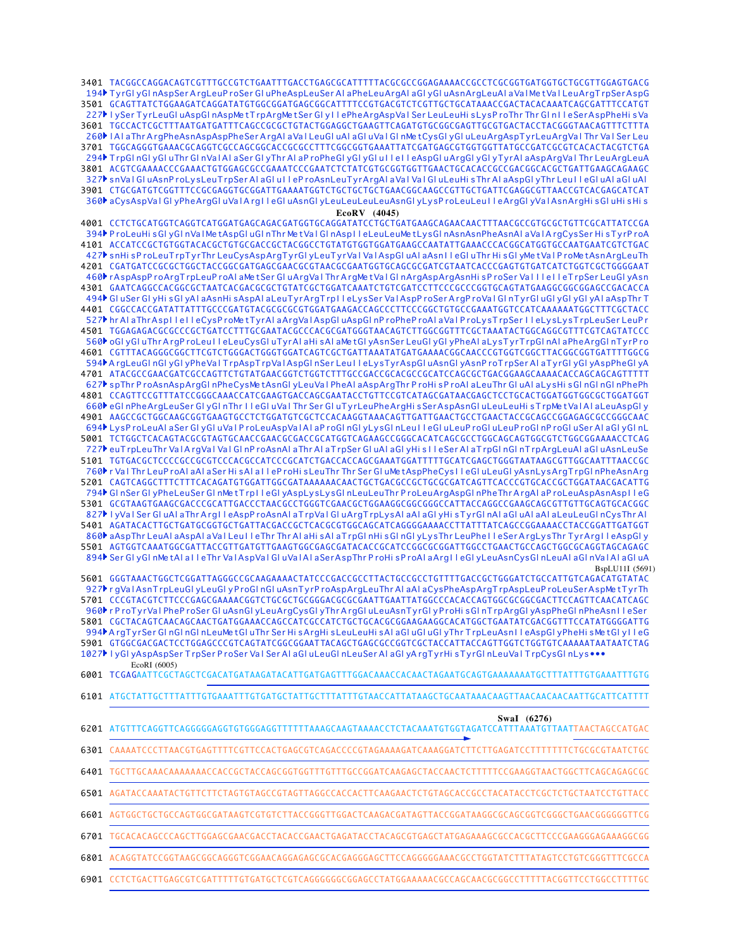3401 TACGGCCAGGACAGTCGTTTGCCGTCTGAATTTGACCTGAGCGCATTTTTACGCGCCGGAGAAAACCGCCTCGCGGTGATGGTGCTGCGTTGGAGTGACG 3501 GCAGTTATCTGGAAGATCAGGATATGTGGCGGATGAGCGGCATTTTCCGTGACGTCTCGTTGCTGCATAAACCGACTACACAAATCAGCGATTTCCATGT TGCCACTCGCTTTAATGATGATTTCAGCCGCGCTGTACTGGAGGCTGAAGTTCAGATGTGCGGCGAGTTGCGTGACTACCTACGGGTAACAGTTTCTTTA 3601 3701 TGGCAGGGTGAAACGCAGGTCGCCAGCGGCACCGCGCCTTTCGGCGGTGAAATTATCGATGAGCGTGGTGGTTATGCCGATCGCGTCACACTACGTCTGA 3801 ACGTCGAAAACCCGAAACTGTGGAGCGCCGAAATCCCGAATCTCTATCGTGCGGTGGTTGAACTGCACACCGCCGACGGCACGCTGATTGAAGCAGAAGC 3901 CTGCGATGTCGGTTTCCGCGAGGTGCGGATTGAAAATGGTCTGCTGCTGCTGAACGGCAAGCCGTTGCTGATTCGAGGCGTTAACCGTCACGAGCATCAT 194▶TyrGl yGl nAspSerArgLeuP roSer Gl uPheAspLeuSer Al aPheLeuArgAl aGl yGl uAsnArgLeuAl aVal MetVal LeuArgTrpSerAspG 227▶ IySer TyrLeuGl uAspGl nAspMetTrpArgMetSer Gl y I lePheArgAspVa I Ser LeuLeuHi sLysP roThr Thr Gl n I leSerAspPheHi s Va 260▶ I AI aThr ArgPheAsnAspAspPheSer ArgAI aVaI LeuGI uAI aGI uVaI GI nMetCysGI yGI uLeuArgAspTyrLeuArgVaI Thr VaI Ser Leu 294▶ TrpGl nGl yGl uThr Gl nVa l A l aSer Gl yThr AI aP roPheGl yGl yGl u I l e I l eAspGl uArgGl yGl yTyrAI aAspArgVa I Thr LeuArgLeuA 327▶ snVa l Gl uAsnP roLy sLeuT rpSer Al aGl u I leP roAsnLeuTyr ArgAl aVa l Va l Gl uLeuHi sThr Al aAspGl yThr Leu I l eGl uAl aGl uAl 360▶ aCysAspVaI GI yPheArgGl uVaIA rgI I eGI uAsnGl yLeuLeuLeuLeuAsnGl yLysP roLeuLeuI I eArgGl yVaIAsnArgHi sGl uHi sHi s

**EcoRV (4045)**

4001 CCTCTGCATGGTCAGGTCATGGATGAGCAGACGATGGTGCAGGATATCCTGCTGATGAAGCAGAACAACTTTAACGCCGTGCGCTGTTCGCATTATCCGA 4101 ACCATCCGCTGTGGTACACGCTGTGCGACCGCTACGGCCTGTATGTGGTGGATGAAGCCAATATTGAAACCCACGGCATGGTGCCAATGAATCGTCTGAC 4201 CGATGATCCGCGCTGGCTACCGGCGATGAGCGAACGCGTAACGCGAATGGTGCAGCGCGATCGTAATCACCCGAGTGTGATCATCTGGTCGCTGGGGAAT GAATCAGGCCACGGCGCTAATCACGACGCGCTGTATCGCTGGATCAAATCTGTCGATCCTTCCCGCCCGGTGCAGTATGAAGGCGGCGGAGCCGACACCA 4301 4401 CGGCCACCGATATTATTTGCCCGATGTACGCGCGCGTGGATGAAGACCAGCCCTTCCCGGCTGTGCCGAAATGGTCCATCAAAAAAATGGCTTTCGCTACC 4501 TGGAGAGACGCGCCCGCTGATCCTTTGCGAATACGCCCACGCGATGGGTAACAGTCTTGGCGGTTTCGCTAAATACTGGCAGGCGTTTCGTCAGTATCCC 4601 CGTTTACAGGGCGGCTTCGTCTGGGACTGGGTGGATCAGTCGCTGATTAAATATGATGAAAACGGCAACCCGTGGTCGGCTTACGGCGGTGATTTTGGCG ATACGCCGAACGATCGCCAGTTCTGTATGAACGGTCTGGTCTTTGCCGACCGCACGCCGCATCCAGCGCTGACGGAAGCAAAACACCAGCAGCAGTTTTT 4701 4801 CCAGTTCCGTTTATCCGGGCAAACCATCGAAGTGACCAGCGAATACCTGTTCCGTCATAGCGATAACGAGCTCCTGCACTGGATGGTGGCGCTGGATGGT AAGCCGCTGGCAAGCGGTGAAGTGCCTCTGGATGTCGCTCCACAAGGTAAACAGTTGATTGAACTGCCTGAACTACCGCAGCCGGAGAGCGCCGGGCAAC 4901 5001 TCTGGCTCACAGTACGCGTAGTGCAACCGAACGCGACCGCATGGTCAGAAGCCGGGCACATCAGCGCCTGGCAGCAGTGGCGTCTGGCGGAAAACCTCAG 5101 TGTGACGCTCCCCGCCGCGTCCCACGCCATCCCGCATCTGACCACCAGCGAAATGGATTTTTGCATCGAGCTGGGTAATAAGCGTTGGCAATTTAACCGC 5201 CAGTCAGGCTTTCTTTCACAGATGTGGATTGGCGATAAAAAACAACTGCTGACGCCGCTGCGCGATCAGTTCACCCGTGCACCGCTGGATAACGACATTG 5301 GCGTAAGTGAAGCGACCCGCATTGACCCTAACGCCTGGGTCGAACGCTGGAAGGCGGGGGCCATTACCAGGCCGAAGCAGCGTTGTTGCAGTGCACGGC AGATACACTTGCTGATGCGGTGCTGATTACGACCGCTCACGCGTGGCAGCATCAGGGGAAAACCTTATTTATCAGCCGGAAAACCTACCGGATTGATGGT 5401 AGTGGTCAAATGGCGATTACCGTTGATGTTGAAGTGGCGAGCGATACACCGCATCCGGCGCGGATTGGCCTGAACTGCCAGCTGGCGCAGGTAGCAGAGC 5501 5601 GGGTAAACTGGCTCGGATTAGGGCCGCAAGAAAACTATCCCGACCGCCTTACTGCCGCCTGTTTTGACCGCTGGGATCTGCCATTGTCAGACATGTATAC 5701 CCCGTACGTCTTCCCGAGCGAAAACGGTCTGCGCTGCGGGACGCGCGAATTGAATTATGGCCCACACCAGTGGCGCGGCGACTTCCAGTTCAACATCAGC 5801 CGCTACAGTCAACAGCAACTGATGGAAACCAGCCATCGCCATCTGCTGCACGCGGAAGAAGGCACATGGCTGAATATCGACGGTTTCCATATGGGGATTG 5901 GTGGCGACGACTCCTGGAGCCCGTCAGTATCGGCGGAATTACAGCTGAGCGCCGGTCGCTACCATTACCAGTTGGTCTGGTGTCAAAAATAATCATAGTCTAG TCGAGAATTCGCTAGCTCGACATGATAAGATACATTGATGAGTTTGGACAAACCACAACTAGAATGCAGTGAAAAAAATGCTTTATTTGTGAAATTTGTG 6001 ATGCTATTGCTTTATTTGTGAAATTTGTGATGCTATTGCTTTATTTGTAACCATTATAAGCTGCAATAAACAAGTTAACAACAACAATTGCATTCATTTT 6101 ATGTTTCAGGTTCAGGGGGAGGTGTGGGAGGTTTTTTAAAGCAAGTAAAACCTCTACAAATGTGGTAGATCCATTTAAATGTTAATTAACTAGCCATGAC 6201 CAAAATCCCTTAACGTGAGTTTTCGTTCCACTGAGCGTCAGACCCCGTAGAAAAGATCAAAGGATCTTCTTGAGATCCTTTTTTTCTGCGCGTAATCTGC 6301 TGCTTGCAAACAAAAAAACCACCGCTACCAGCGGTGGTTTGTTTGCCGGATCAAGAGCTACCAACTCTTTTTCCGAAGGTAACTGGCTTCAGCAGAGCGC AGATACCAAATACTGTTCTTCTAGTGTAGCCGTAGTTAGGCCACCACTTCAAGAACTCTGTAGCACCGCCTACATACCTCGCTCTGCTAATCCTGTTACC 6601 AGTGGCTGCTGCCAGTGGCGATAAGTCGTGTCTTACCGGGTTGGACTCAAGACGATAGTTACCGGATAAGGCGCAGCGGTCGGGCTGAACGGGGGGTTCG TGCACACAGCCCAGCTTGGAGCGAACGACCTACACCGAACTGAGATACCTACAGCGTGAGCT ATGAGAAAGCGCCACGCTTCCCGAAGGGAGAAAGGCGG ACAGGTATCCGGTAAGCGGCAGGGTCGGAACAGGAGAGCGCACGAGGGAGCTTCCAGGGGGAAACGCCTGGTATCTTTATAGTCCTGTCGGGTTTCGCCA 394▶ P roLeuHi sGl yGl nVa l Me tAspGl uGl nThr Me tVa l Gl nAsp I l eLeuLeuMe tLysGl nAsnAsnPheAsnAl aVa l A rgCysSer Hi sTyrP roA 427▶ snHi sP roLeuTrpTyrThr LeuCysAspArgTyrGl yLeuTyrVal ValAspGl uAl aAsn I l eGl uThr Hi sGl yMetVal P roMetAsnArgLeuTh 460▶rAspAspProArgTrpLeuProAl aMetSer GluArgValThrArgMetValGlnArgAspArgAsnHisProSer ValllelleTrpSer LeuGlyAsn 494▶ Gl uSer Gl yHi sGl yAl aAsnHi sAspAl aLeuTyrArgTrp I leLysSer ValAspP roSerArgP roVal Gl nTyrGl uGl yGl yGl yAl aAspThr T 527▶ hr Al aThrAsp I l e I l eCysP roMe tTyrAl aArgVal AspGl uAspGl nP roPheP roAl aVal P roLy sTrpSer I l eLy sLysTrpLeuSer LeuP r 560▶ oGl yGl uThr ArgP roLeu I l eLeuCysGl uTyrAl aHi sAl aMetGl yAsnSer LeuGl yGl yPheAl aLysTyrTrpGl nAl aPheArgGl nTyrP ro 594▶A rgLeuGI nGI yGI yPheVaI TrpAspTrpVaIAspGI nSer LeuI I eLysTyrAspGI uAsnGI yAsnP roTrpSer AI aTyrGI yGI yAspPheGI yA 627▶ spThr P roAsnAspArgGl nPheCysMe tAsnGl yLeuVaI PheAI aAspArgThr P roHi sP roAI aLeuThr GI uAI aLysHi sGI nGI nGI nPhePh 660▶eGInPheArgLeuSer GI yGInThr I l eGI uVaI Thr Ser GI uTyrLeuPheArgHi s SerAspAsnGI uLeuLeuHi sTrpMetVaIAI aLeuAspGI y 694▶ LysP roLeuAI aSer GI yGI uVaI P roLeuAspVaIAI aP roGI nGI yLysGI nLeuI I eGI uLeuP roGI uLeuP roGI nP roGI uSer AI aGI yGI nL 727▶ euTrpLeuThr Va l A rgVa l Va l Gl nP roAsnAl aThr Al aTrpSer Gl uAl aGl yHi s l l eSer Al aTrpGl nGl nTrpArgLeuAl aGl uAsnLeuSe 760▶r VaI Thr LeuP roAI aAI aSer Hi sAI a I I eP roHi sLeuThr Thr Ser GI uMetAspPheCys I I eGI uLeuGI yAsnLysArgT rpGI nPheAsnArg 794▶ GI nSer GI yPheLeuSer GI nMe tTrp I I eGI yAspLysLysGI nLeuLeuThr P roLeuArgAspGI nPheThr ArgAI aP roLeuAspAsnAsp I I eG 827▶ I yVa I Ser GI uAI aThr Arg I I eAspP roAsnAI aTrpVaI GI uArgT rpLysAI aAI aGI yHi sTyrGI nAI aGI uAI aAI aLeuLeuGI nCysThr AI 860▶ aAspThr LeuAl aAspAl aVal Leu I l eThr Thr Al aHi sAl aT rpGl nHi sGl nGl yLysThr LeuPhe I l eSer ArgLysThr TyrArg I l eAspGl y 894▶ Ser Gl yGl nMe tAl a I l eThr Val AspVal Gl uVal Al aSerAspThr P roHi sP roAl aArg I l eGl yLeuAsnCysGl nLeuAl aGl nVal Al aGl uA 927▶rgValAsnTrpLeuGlyLeuGlyProGlnGluAsnTyrProAspArgLeuThrAlaAlaCysPheAspArgTrpAspLeuProLeuSerAspMetTyrTh 960▶r P roTyrVal PheP roSer Gl uAsnGl yLeuArgCysGl yThr ArgGl uLeuAsnTyrGl yProHi sGl nTrpArgGl yAspPheGl nPheAsn I l eSer 994▶A rgTyrSer GInGInGInLeuMetGIuThr Ser HisArgHisLeuLeuHisAIaGIuGIuGIyThr TrpLeuAsn IIeAspGIyPheHis MetGIyIIeG 1027▶ I yGI yAspAspSer TrpSer P roSer Va I Ser AI aGI uLeuGI nLeuSer AI aGI yA rgTyrHi sTyrGI nLeuVaI TrpCysGI nLys••• BspLU11I (5691) EcoRI (6005) **SwaI (6276)** 6401 6501 6701 6801

CCTCTGACTTGAGCGTCGATTTTTGTGATGCTCGTCAGGGGGGCGGAGCCTATGGAAAAACGCCAGCAACGCGGCCTTTTTACGGTTCCTGGCCTTTTGC 6901